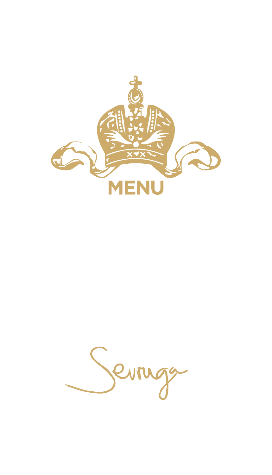

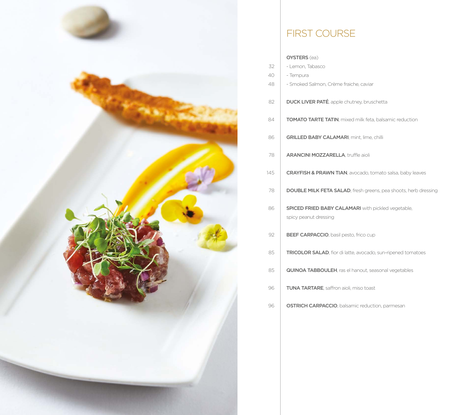

# FIRST COURSE

### OYSTERS (ea)

| 32  | - Lemon, Tabasco                                                                   |
|-----|------------------------------------------------------------------------------------|
| 40  | - Tempura                                                                          |
| 48  | - Smoked Salmon, Crème fraiche, caviar                                             |
| 82  | <b>DUCK LIVER PATÉ</b> , apple chutney, bruschetta                                 |
| 84  | <b>TOMATO TARTE TATIN, mixed milk feta, balsamic reduction</b>                     |
| 86  | <b>GRILLED BABY CALAMARI, mint, lime, chilli</b>                                   |
| 78  | <b>ARANCINI MOZZARELLA, truffle aioli</b>                                          |
| 145 | <b>CRAYFISH &amp; PRAWN TIAN, avocado, tomato salsa, baby leaves</b>               |
| 78  | <b>DOUBLE MILK FETA SALAD, fresh greens, pea shoots, herb dressing</b>             |
| 86  | <b>SPICED FRIED BABY CALAMARI</b> with pickled vegetable,<br>spicy peanut dressing |
| 92  | <b>BEEF CARPACCIO, basil pesto, frico cup</b>                                      |
| 85  | TRICOLOR SALAD, fior di latte, avocado, sun-ripened tomatoes                       |
| 85  | <b>QUINOA TABBOULEH, ras el hanout, seasonal vegetables</b>                        |
| 96  | <b>TUNA TARTARE, saffron aioli, miso toast</b>                                     |
| 96  | <b>OSTRICH CARPACCIO, balsamic reduction, parmesan</b>                             |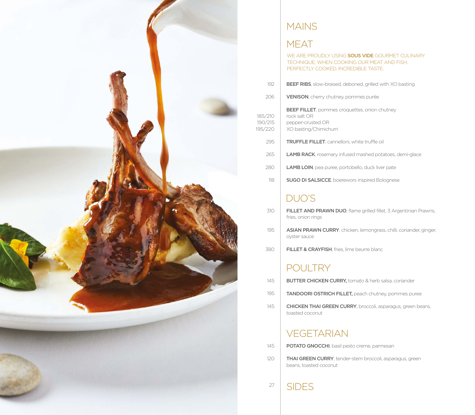

### **MAINS**

# **MEAT**

WE ARE PROUDLY USING SOUS VIDE GOURMET CULINARY technique, when cooking our meat and fish. Perfectly cooked. Incredible taste.

| 192 | <b>BEEF RIBS</b> , slow-braised, deboned, grilled with XO basting |
|-----|-------------------------------------------------------------------|
|     |                                                                   |

VENISON, cherry chutney, pommes purée 206

BEEF FILLET, pommes croquettes, onion chutney rock salt OR pepper-crusted OR XO basting/Chimichurri 185/210 190/215 195/220

- TRUFFLE FILLET, cannelloni, white truffle oil 295
- LAMB RACK, rosemary infused mashed potatoes, demi-glace 265
- LAMB LOIN, pea puree, portobello, duck liver pate 280
- SUGO DI SALSICCE, boerewors inspired Bolognese 118

# DUO'S

- FILLET AND PRAWN DUO, flame grilled fillet, 3 Argentinian Prawns, fries, onion rings 310
- ASIAN PRAWN CURRY, chicken, lemongrass, chilli, coriander, ginger, oyster sauce 195
- FILLET & CRAYFISH, fries, lime beurre blanc 380

### **POULTRY**

- **BUTTER CHICKEN CURRY, tomato & herb salsa, coriander** 145
- tandoori ostrich fillet, peach chutney, pommes puree 195
- Chicken Thai green curry, broccoli, asparagus, green beans, toasted coconut 145

## **VEGETARIAN**

- **POTATO GNOCCHI**, basil pesto creme, parmesan 145
	- **THAI GREEN CURRY**, tender-stem broccoli, asparagus, green beans, toasted coconut

**SIDES** 27

120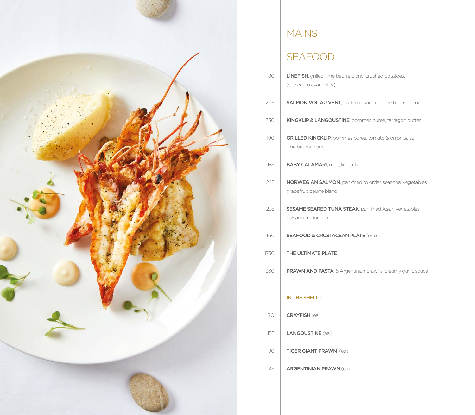

# **MAINS**

# SEAFOOD

| 180  | <b>LINEFISH</b> , grilled, lime beurre blanc, crushed potatoes,<br>(subject to availability) |
|------|----------------------------------------------------------------------------------------------|
| 205  | <b>SALMON VOL AU VENT</b> , buttered spinach, lime beurre blanc                              |
| 330  | KINGKLIP & LANGOUSTINE, pommes puree, tarragon butter                                        |
| 190  | GRILLED KINGKLIP, pommes puree, tomato & onion salsa,<br>lime beurre blanc                   |
| 185  | <b>BABY CALAMARI, mint, lime, chilli</b>                                                     |
| 245  | NORWEGIAN SALMON, pan-fried to order, seasonal vegetables,<br>grapefruit beurre blanc        |
| 235  | <b>SESAME SEARED TUNA STEAK, pan-fried Asian vegetables,</b><br>balsamic reduction           |
| 460  | <b>SEAFOOD &amp; CRUSTACEAN PLATE for one</b>                                                |
| 1750 | THE ULTIMATE PLATE                                                                           |
| 260  | PRAWN AND PASTA, 5 Argentinian prawns, creamy garlic sauce                                   |
|      | IN THE SHELL:                                                                                |
| SQ   | <b>CRAYFISH</b> (ea)                                                                         |
| 155  | <b>LANGOUSTINE</b> (ea)                                                                      |
| 190  | <b>TIGER GIANT PRAWN</b> (ea)                                                                |

Argentinian prawn (ea) 45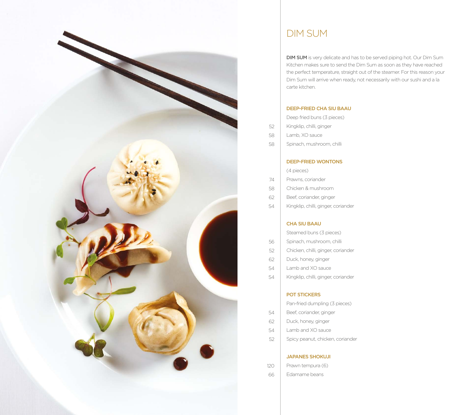

### Dim Sum

DIM SUM is very delicate and has to be served piping hot. Our Dim Sum Kitchen makes sure to send the Dim Sum as soon as they have reached the perfect temperature, straight out of the steamer. For this reason your Dim Sum will arrive when ready, not necessarily with our sushi and a la carte kitchen.

#### DEEP-FRIED CHA SIU BAAU

| Deep fried buns (3 pieces) |  |  |
|----------------------------|--|--|
| Kingklip, chilli, ginger   |  |  |
| Lamb, XO sauce             |  |  |
| Spinach, mushroom, chilli  |  |  |
|                            |  |  |

#### DEEP-FRIED WONTONS

(4 pieces) Prawns, coriander Chicken & mushroom

74 58

54

- Beef, coriander, ginger 62
- Kingklip, chilli, ginger, coriander 54

#### CHA SIU BAAU

Steamed buns (3 pieces)

- Spinach, mushroom, chilli 56
- Chicken, chilli, ginger, coriander 52
- Duck, honey, ginger 62
- Lamb and XO sauce 54
- Kingklip, chilli, ginger, coriander 54

#### POT STICKERS

Pan-fried dumpling (3 pieces) Beef, coriander, ginger

- Duck, honey, ginger 62
- Lamb and XO sauce 54
- Spicy peanut, chicken, coriander 52

#### JAPANES SHOKUJI

- Prawn tempura (6) 120
- Edamame beans 66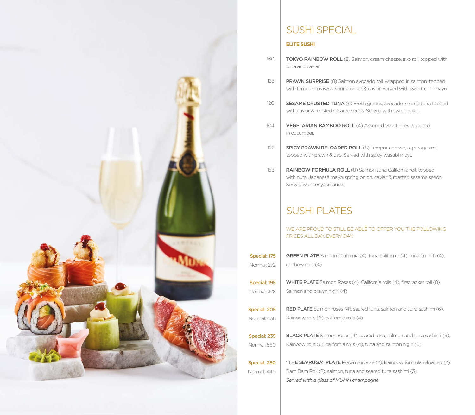

### Sushi special

### **Elite SUSHI**

- 160 **TOKYO RAINBOW ROLL** (8) Salmon, cream cheese, avo roll, topped with tuna and caviar
- 128 PRAWN SURPRISE (8) Salmon avocado roll, wrapped in salmon, topped with tempura prawns, spring onion & caviar. Served with sweet chilli mayo.
- 120 SESAME CRUSTED TUNA (6) Fresh greens, avocado, seared tuna topped with caviar & roasted sesame seeds. Served with sweet soya.
- 104 VEGETARIAN BAMBOO ROLL (4) Assorted vegetables wrapped in cucumber.
- 122 Spicy Prawn Reloaded Roll (8) Tempura prawn, asparagus roll, topped with prawn & avo. Served with spicy wasabi mayo.
- 158 RAINBOW FORMULA ROLL (8) Salmon tuna California roll, topped with nuts, Japanese mayo, spring onion, caviar & roasted sesame seeds. Served with teriyaki sauce.

# Sushi plates

WE ARE PROUD TO STILL BE ABLE TO OFFER YOU THE FOLLOWING PRICES ALL DAY, EVERY DAY.

- **GREEN PLATE** Salmon California (4), tuna california (4), tuna crunch (4), rainbow rolls (4) Special: 175 Normal: 272
- WHITE PLATE Salmon Roses (4), California rolls (4), firecracker roll (8), Salmon and prawn nigiri (4) Special: 195 Normal: 378
	- **RED PLATE** Salmon roses (4), seared tuna, salmon and tuna sashimi (6), Rainbow rolls (6), california rolls (4)
- **BLACK PLATE** Salmon roses (4), seared tuna, salmon and tuna sashimi (6), Rainbow rolls (6), california rolls (4), tuna and salmon nigiri (6) Special: 235 Normal: 560
- Special: 280 Normal: 440
- "THE SEVRUGA" PLATE Prawn surprise (2), Rainbow formula reloaded (2), Bam Bam Roll (2), salmon, tuna and seared tuna sashimi (3) *Served with a glass of MUMM champagne*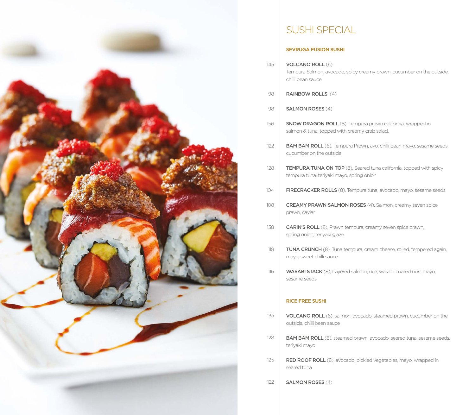

# Sushi special

### **SEVRUGA FUSION SUSHI**

- VOLCANO ROLL (6) Tempura Salmon, avocado, spicy creamy prawn, cucumber on the outside, chilli bean sauce
- RAINBOW ROLLS (4) 98

145

- SALMON ROSES (4) 98
- SNOW DRAGON ROLL (8), Tempura prawn california, wrapped in salmon & tuna, topped with creamy crab salad. 156
- BAM BAM ROLL (6), Tempura Prawn, avo, chilli bean mayo, sesame seeds, cucumber on the outside 122
- **TEMPURA TUNA ON TOP** (8), Seared tuna california, topped with spicy tempura tuna, teriyaki mayo, spring onion 128
- FIRECRACKER ROLLS (8), Tempura tuna, avocado, mayo, sesame seeds 104
- **CREAMY PRAWN SALMON ROSES** (4), Salmon, creamy seven spice prawn, caviar 108
- CARIN'S ROLL (8), Prawn tempura, creamy seven spice prawn, spring onion, teriyaki glaze 138
- TUNA CRUNCH (8), Tuna tempura, cream cheese, rolled, tempered again, mayo, sweet chilli sauce 118
- WASABI STACK (8), Layered salmon, rice, wasabi coated nori, mayo, sesame seeds 116

#### **RICE FREE SUSHI**

- VOLCANO ROLL (6), salmon, avocado, steamed prawn, cucumber on the outside, chilli bean sauce 135
- BAM BAM ROLL (6), steamed prawn, avocado, seared tuna, sesame seeds, teriyaki mayo 128
- RED ROOF ROLL (8), avocado, pickled vegetables, mayo, wrapped in seared tuna 125
- SALMON ROSES (4) 122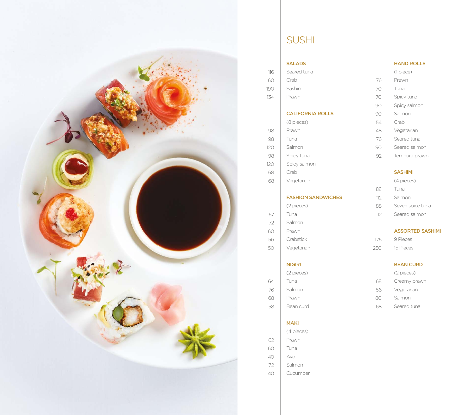

# **SUSHI**

#### SALADS

| 116 | Seared tuna             |
|-----|-------------------------|
| 60  | Crab                    |
| 190 | Sashimi                 |
| 134 | Prawn                   |
|     |                         |
|     | <b>CALIFORNIA ROLLS</b> |
|     | (8 pieces)              |
| 98  | Prawn                   |
| 98  | Tuna                    |
| 120 | Salmon                  |
| 98  | Spicy tuna              |
| 120 | Spicy salmon            |
| 68  | Crab                    |
| 68  | Vegetarian              |
|     |                         |

### FASHION SANDWICHES

|     | (2 pieces) |
|-----|------------|
| 57  | Tuna       |
| 72  | Salmon     |
| 60  | Prawn      |
| 56  | Crabstick  |
| 50) | Vegetarian |

### NIGIRI

|    | (2 pieces) |
|----|------------|
| 64 | Tuna       |
| 76 | Salmon     |
| 68 | Prawn      |
| 58 | Bean curd  |

### MAKI

(4 pieces) Prawn Tuna Avo Salmon 62 72

60 40

Cucumber 40

### HAND ROLLS

(1 piece) Prawn Tuna Spicy tuna Spicy salmon Salmon Crab Vegetarian Seared tuna Seared salmon Tempura prawn

### SASHIMI

| (4 pieces)       |
|------------------|
| Tuna             |
| Salmon           |
| Seven spice tuna |
| Seared salmon    |
|                  |

### ASSORTED SASHIMI

9 Pieces 15 Pieces 175 250

### BEAN CURD

(2 pieces) Creamy prawn Vegetarian Salmon Seared tuna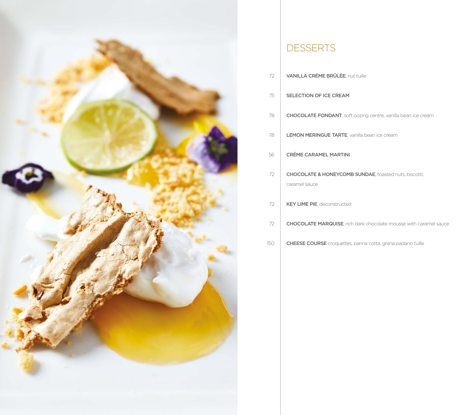

### **DESSERTS**

| 72 I | <b>VANILLA CRÉME BRÛLÉE, nut tuille</b> |  |  |  |
|------|-----------------------------------------|--|--|--|
|------|-----------------------------------------|--|--|--|

#### SELECTION OF ICE CREAM 75

- chocolate fondant, soft oozing centre, vanilla bean ice cream 78
- LEMON MERINGUE TARTE, vanilla bean ice cream 78

#### CRÉME CARAMEL MARTINI 56

- CHOCOLATE & HONEYCOMB SUNDAE, toasted nuts, biscotti, caramel sauce 72
- Key Lime pie, deconstructed 72
- Chocolate Marquise, rich dark chocolate mousse with caramel sauce 72
- CHEESE COURSE croquettes, panna cotta, grana padano tuille 150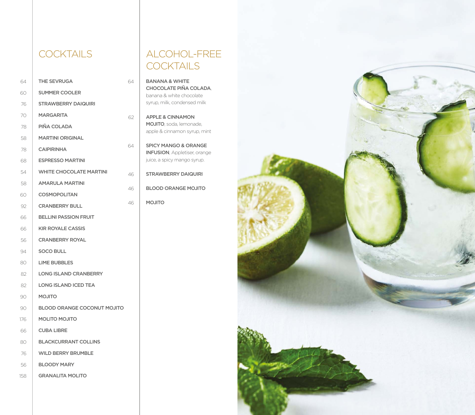### **COCKTAILS**

| 64  | <b>THE SEVRUGA</b>                 |
|-----|------------------------------------|
| 60  | <b>SUMMER COOLER</b>               |
| 76  | <b>STRAWBERRY DAIQUIRI</b>         |
| 70  | MARGARITA                          |
| 78  | PIÑA COLADA                        |
| 58  | <b>MARTINI ORIGINAL</b>            |
| 78  | <b>CAIPIRINHA</b>                  |
| 68  | <b>ESPRESSO MARTINI</b>            |
| 54  | <b>WHITE CHOCOLATE MARTINI</b>     |
| 58  | <b>AMARULA MARTINI</b>             |
| 60  | <b>COSMOPOLITAN</b>                |
| 92  | <b>CRANBERRY BULL</b>              |
| 66  | <b>BELLINI PASSION FRUIT</b>       |
| 66  | <b>KIR ROYALE CASSIS</b>           |
| 56  | <b>CRANBERRY ROYAL</b>             |
| 94  | <b>SOCO BULL</b>                   |
| 80  | <b>LIME BUBBLES</b>                |
| 82  | <b>LONG ISLAND CRANBERRY</b>       |
| 82  | <b>LONG ISLAND ICED TEA</b>        |
| 90  | <b>OTILOM</b>                      |
| 90  | <b>BLOOD ORANGE COCONUT MOJITO</b> |
| 176 | <b>MOLITO MOJITO</b>               |
| 66  | <b>CUBA LIBRE</b>                  |
| 80  | <b>BLACKCURRANT COLLINS</b>        |
| 76  | <b>WILD BERRY BRUMBLE</b>          |
| 56  | <b>BLOODY MARY</b>                 |
| 158 | <b>GRANALITA MOLITO</b>            |

### alcohol-free **COCKTAILS**

BANANA & WHITE CHOCOLATE PIÑA COLADA, banana & white chocolate syrup, milk, condensed milk

64

62

64

46

46

46

- APPLE & CINNAMON MOJITO, soda, lemonade, apple & cinnamon syrup, mint
- SPICY MANGO & ORANGE INFUSION, Appletiser, orange juice, a spicy mango syrup.
- STRAWBERRY DAIQUIRI
- BLOOD ORANGE MOJITO
- MOJITO